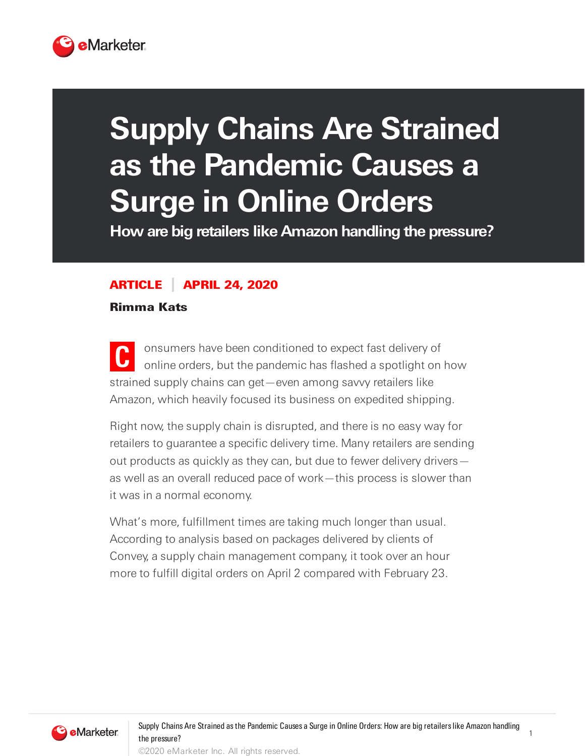

## **Supply Chains Are Strained as the Pandemic Causes a Surge in Online Orders**

**How are big retailers like Amazon handling the pressure?**

## ARTICLE APRIL 24, 2020

Rimma Kats

**C** onsumers have been conditioned to expect fast delivery of online orders, but the pandemic has flashed a spotlight on how strained supply chains can get—even among savvy retailers like Amazon, which heavily focused its business on expedited shipping.

Right now, the supply chain is disrupted, and there is no easy way for retailers to guarantee a specific delivery time. Many retailers are sending out products as quickly as they can, but due to fewer delivery drivers as well as an overall reduced pace of work—this process is slower than it was in a normal economy.

What's more, fulfillment times are taking much longer than usual. According to analysis based on packages delivered by clients of Convey, a supply chain management company, it took over an hour more to fulfill digital orders on April 2 compared with February 23.



1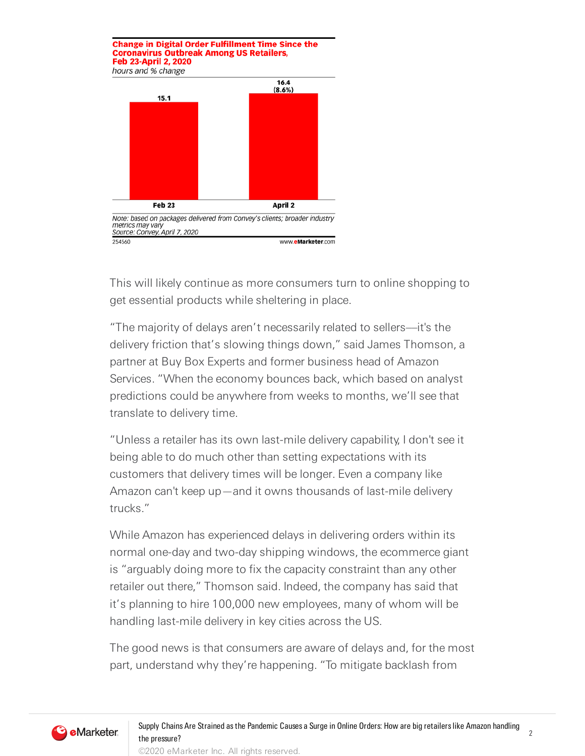**Change in Digital Order Fulfillment Time Since the Coronavirus Outbreak Among US Retailers, Feb 23-April 2, 2020** hours and % change



This will likely continue as more consumers turn to online shopping to get essential products while sheltering in place.

"The majority of delays aren't necessarily related to sellers––it's the delivery friction that's slowing things down," said James Thomson, a partner at Buy Box Experts and former business head of Amazon Services. "When the economy bounces back, which based on analyst predictions could be anywhere from weeks to months, we'll see that translate to delivery time.

"Unless a retailer has its own last-mile delivery capability, I don't see it being able to do much other than setting expectations with its customers that delivery times will be longer. Even a company like Amazon can't keep up—and it owns thousands of last-mile delivery trucks."

While Amazon has experienced delays in delivering orders within its normal one-day and two-day shipping windows, the ecommerce giant is "arguably doing more to fix the capacity constraint than any other retailer out there," Thomson said. Indeed, the company has said that it's planning to hire 100,000 new employees, many of whom will be handling last-mile delivery in key cities across the US.

The good news is that consumers are aware of delays and, for the most part, understand why they're happening. "To mitigate backlash from